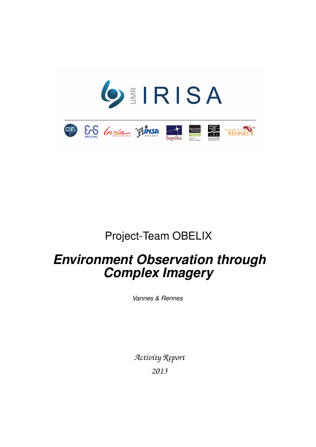

# Project-Team OBELIX

# *Environment Observation through Complex Imagery*

*Vannes & Rennes*

*Activity Report 2013*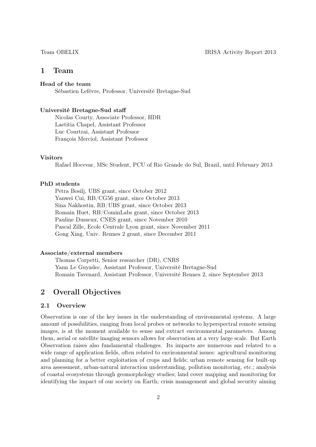# 1 Team

# Head of the team

Sébastien Lefèvre, Professor, Université Bretagne-Sud

### Université Bretagne-Sud staff

Nicolas Courty, Associate Professor, HDR Laetitia Chapel, Assistant Professor Luc Courtrai, Assistant Professor François Merciol, Assistant Professor

### Visitors

Rafael Hocevar, MSc Student, PCU of Rio Grande do Sul, Brazil, until February 2013

# PhD students

Petra Bosilj, UBS grant, since October 2012 Yanwei Cui, RB/CG56 grant, since October 2013 Sina Nakhostin, RB/UBS grant, since October 2013 Romain Huet, RB/CominLabs grant, since October 2013 Pauline Dusseux, CNES grant, since November 2010 Pascal Zille, Ecole Centrale Lyon grant, since November 2011 Gong Xing, Univ. Rennes 2 grant, since December 2011

### Associate/external members

Thomas Corpetti, Senior researcher (DR), CNRS Yann Le Guyadec, Assistant Professor, Université Bretagne-Sud Romain Tavenard, Assistant Professor, Université Rennes 2, since September 2013

# 2 Overall Objectives

# 2.1 Overview

Observation is one of the key issues in the understanding of environmental systems. A large amount of possibilities, ranging from local probes or networks to hyperspectral remote sensing images, is at the moment available to sense and extract environmental parameters. Among them, aerial or satellite imaging sensors allows for observation at a very large scale. But Earth Observation raises also fundamental challenges. Its impacts are numerous and related to a wide range of application fields, often related to environmental issues: agricultural monitoring and planning for a better exploitation of crops and fields; urban remote sensing for built-up area assessment, urban-natural interaction understanding, pollution monitoring, etc.; analysis of coastal ecosystems through geomorphology studies; land cover mapping and monitoring for identifying the impact of our society on Earth; crisis management and global security aiming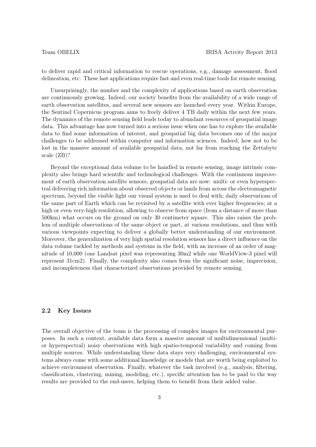to deliver rapid and critical information to rescue operations, e.g., damage assessment, flood delineation, etc. These last applications require fast and even real-time tools for remote sensing.

Unsurprisingly, the number and the complexity of applications based on earth observation are continuously growing. Indeed, our society benefits from the availability of a wide range of earth observation satellites, and several new sensors are launched every year. Within Europe, the Sentinel Copernicus program aims to freely deliver 4 TB daily within the next few years. The dynamics of the remote sensing field leads today to abundant resources of geospatial image data. This advantage has now turned into a serious issue when one has to explore the available data to find some information of interest, and geospatial big data becomes one of the major challenges to be addressed within computer and information sciences. Indeed, how not to be lost in the massive amount of available geospatial data, not far from reaching the Zettabyte scale (ZB)?

Beyond the exceptional data volume to be handled in remote sensing, image intrinsic complexity also brings hard scientific and technological challenges. With the continuous improvement of earth observation satellite sensors, geospatial data are now: multi- or even hyperspectral delivering rich information about observed objects or lands from across the electromagnetic spectrum, beyond the visible light our visual system is used to deal with; daily observations of the same part of Earth which can be revisited by a satellite with ever higher frequencies; at a high or even very-high resolution, allowing to observe from space (from a distance of more than 500km) what occurs on the ground on only 30 centimeter square. This also raises the problem of multiple observations of the same object or part, at various resolutions, and thus with various viewpoints expecting to deliver a globally better understanding of our environment. Moreover, the generalization of very high spatial resolution sensors has a direct influence on the data volume tackled by methods and systems in the field, with an increase of an order of magnitude of 10,000 (one Landsat pixel was representing 30m2 while one WorldView-3 pixel will represent 31cm2). Finally, the complexity also comes from the significant noise, imprecision, and incompleteness that characterized observations provided by remote sensing.

# 2.2 Key Issues

The overall objective of the team is the processing of complex images for environmental purposes. In such a context, available data form a massive amount of multidimensional (multior hyperspectral) noisy observations with high spatio-temporal variability and coming from multiple sources. While understanding these data stays very challenging, environmental systems always come with some additional knowledge or models that are worth being exploited to achieve environment observation. Finally, whatever the task involved (e.g., analysis, filtering, classification, clustering, mining, modeling, etc.), specific attention has to be paid to the way results are provided to the end-users, helping them to benefit from their added value.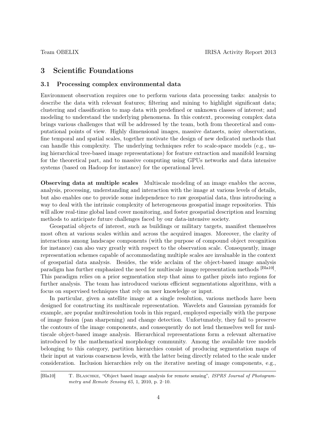# 3 Scientific Foundations

### 3.1 Processing complex environmental data

Environment observation requires one to perform various data processing tasks: analysis to describe the data with relevant features; filtering and mining to highlight significant data; clustering and classification to map data with predefined or unknown classes of interest; and modeling to understand the underlying phenomena. In this context, processing complex data brings various challenges that will be addressed by the team, both from theoretical and computational points of view. Highly dimensional images, massive datasets, noisy observations, fine temporal and spatial scales, together motivate the design of new dedicated methods that can handle this complexity. The underlying techniques refer to scale-space models (e.g., using hierarchical tree-based image representations) for feature extraction and manifold learning for the theoretical part, and to massive computing using GPUs networks and data intensive systems (based on Hadoop for instance) for the operational level.

Observing data at multiple scales Multiscale modeling of an image enables the access, analysis, processing, understanding and interaction with the image at various levels of details, but also enables one to provide some independence to raw geospatial data, thus introducing a way to deal with the intrinsic complexity of heterogeneous geospatial image repositories. This will allow real-time global land cover monitoring, and foster geospatial description and learning methods to anticipate future challenges faced by our data-intensive society.

Geospatial objects of interest, such as buildings or military targets, manifest themselves most often at various scales within and across the acquired images. Moreover, the clarity of interactions among landscape components (with the purpose of compound object recognition for instance) can also vary greatly with respect to the observation scale. Consequently, image representation schemes capable of accommodating multiple scales are invaluable in the context of geospatial data analysis. Besides, the wide acclaim of the object-based image analysis paradigm has further emphasized the need for multiscale image representation methods <sup>[Bla10]</sup>. This paradigm relies on a prior segmentation step that aims to gather pixels into regions for further analysis. The team has introduced various efficient segmentations algorithms, with a focus on supervised techniques that rely on user knowledge or input.

In particular, given a satellite image at a single resolution, various methods have been designed for constructing its multiscale representation. Wavelets and Gaussian pyramids for example, are popular multiresolution tools in this regard, employed especially with the purpose of image fusion (pan sharpening) and change detection. Unfortunately, they fail to preserve the contours of the image components, and consequently do not lend themselves well for multiscale object-based image analysis. Hierarchical representations form a relevant alternative introduced by the mathematical morphology community. Among the available tree models belonging to this category, partition hierarchies consist of producing segmentation maps of their input at various coarseness levels, with the latter being directly related to the scale under consideration. Inclusion hierarchies rely on the iterative nesting of image components, e.g.,

[Bla10] T. Blaschke, "Object based image analysis for remote sensing", ISPRS Journal of Photogrammetry and Remote Sensing 65, 1, 2010, p. 2–10.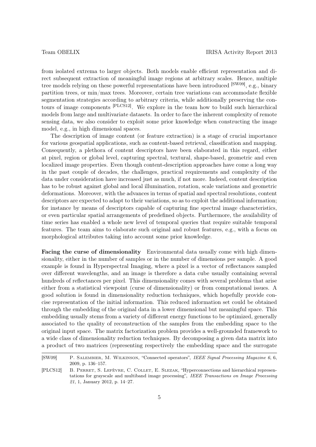from isolated extrema to larger objects. Both models enable efficient representation and direct subsequent extraction of meaningful image regions at arbitrary scales. Hence, multiple tree models relying on these powerful representations have been introduced [SW09], e.g., binary partition trees, or min/max trees. Moreover, certain tree variations can accommodate flexible segmentation strategies according to arbitrary criteria, while additionally preserving the contours of image components [PLCS12]. We explore in the team how to build such hierarchical models from large and multivariate datasets. In order to face the inherent complexity of remote sensing data, we also consider to exploit some prior knowledge when constructing the image model, e.g., in high dimensional spaces.

The description of image content (or feature extraction) is a stage of crucial importance for various geospatial applications, such as content-based retrieval, classification and mapping. Consequently, a plethora of content descriptors have been elaborated in this regard, either at pixel, region or global level, capturing spectral, textural, shape-based, geometric and even localized image properties. Even though content-description approaches have come a long way in the past couple of decades, the challenges, practical requirements and complexity of the data under consideration have increased just as much, if not more. Indeed, content description has to be robust against global and local illumination, rotation, scale variations and geometric deformations. Moreover, with the advances in terms of spatial and spectral resolutions, content descriptors are expected to adapt to their variations, so as to exploit the additional information; for instance by means of descriptors capable of capturing fine spectral image characteristics, or even particular spatial arrangements of predefined objects. Furthermore, the availability of time series has enabled a whole new level of temporal queries that require suitable temporal features. The team aims to elaborate such original and robust features, e.g., with a focus on morphological attributes taking into account some prior knowledge.

Facing the curse of dimensionality Environmental data usually come with high dimensionality, either in the number of samples or in the number of dimensions per sample. A good example is found in Hyperspectral Imaging, where a pixel is a vector of reflectances sampled over different wavelengths, and an image is therefore a data cube usually containing several hundreds of reflectances per pixel. This dimensionality comes with several problems that arise either from a statistical viewpoint (curse of dimensionality) or from computational issues. A good solution is found in dimensionality reduction techniques, which hopefully provide concise representation of the initial information. This reduced information set could be obtained through the embedding of the original data in a lower dimensional but meaningful space. This embedding usually stems from a variety of different energy functions to be optimized, generally associated to the quality of reconstruction of the samples from the embedding space to the original input space. The matrix factorization problem provides a well-grounded framework to a wide class of dimensionality reduction techniques. By decomposing a given data matrix into a product of two matrices (representing respectively the embedding space and the surrogate

<sup>[</sup>SW09] P. Salembier, M. Wilkinson, "Connected operators", IEEE Signal Processing Magazine 6, 6, 2009, p. 136–157.

<sup>[</sup>PLCS12] B. Perret, S. Lefèvre, C. Collet, E. Slezak, "Hyperconnections and hierarchical representations for grayscale and multiband image processing", IEEE Transactions on Image Processing 21, 1, January 2012, p. 14–27.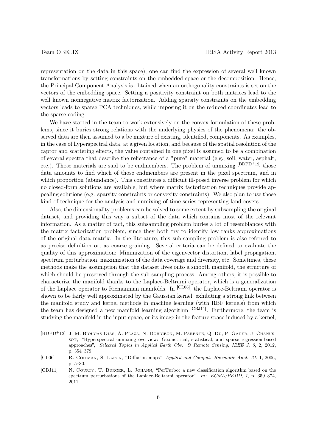representation on the data in this space), one can find the expression of several well known transformations by setting constraints on the embedded space or the decomposition. Hence, the Principal Component Analysis is obtained when an orthogonality constraints is set on the vectors of the embedding space. Setting a positivity constraint on both matrices lead to the well known nonnegative matrix factorization. Adding sparsity constraints on the embedding vectors leads to sparse PCA techniques, while imposing it on the reduced coordinates lead to the sparse coding.

We have started in the team to work extensively on the convex formulation of these problems, since it buries strong relations with the underlying physics of the phenomena: the observed data are then assumed to a be mixture of existing, identified, components. As examples, in the case of hyperspectral data, at a given location, and because of the spatial resolution of the captor and scattering effects, the value contained in one pixel is assumed to be a combination of several spectra that describe the reflectance of a "pure" material (e.g., soil, water, asphalt, etc.). Those materials are said to be endmembers. The problem of unmixing [BDPD+12] those data amounts to find which of those endmembers are present in the pixel spectrum, and in which proportion (abundance). This constitutes a difficult ill-posed inverse problem for which no closed-form solutions are available, but where matrix factorization techniques provide appealing solutions (e.g. sparsity constraints or convexity constraints). We also plan to use those kind of technique for the analysis and unmixing of time series representing land covers.

Also, the dimensionality problems can be solved to some extent by subsampling the original dataset, and providing this way a subset of the data which contains most of the relevant information. As a matter of fact, this subsampling problem buries a lot of resemblances with the matrix factorization problem, since they both try to identify low ranks approximations of the original data matrix. In the literature, this sub-sampling problem is also referred to as precise definition or, as coarse graining. Several criteria can be defined to evaluate the quality of this approximation: Minimization of the eigenvector distortion, label propagation, spectrum perturbation, maximization of the data coverage and diversity, etc. Sometimes, these methods make the assumption that the dataset lives onto a smooth manifold, the structure of which should be preserved through the sub-sampling process. Among others, it is possible to characterize the manifold thanks to the Laplace-Beltrami operator, which is a generalization of the Laplace operator to Riemannian manifolds. In [CL06], the Laplace-Beltrami operator is shown to be fairly well approximated by the Gaussian kernel, exhibiting a strong link between the manifold study and kernel methods in machine learning (with RBF kernels) from which the team has designed a new manifold learning algorithm [CBJ11]. Furthermore, the team is studying the manifold in the input space, or its image in the feature space induced by a kernel,

<sup>[</sup>BDPD<sup>+</sup>12] J. M. Bioucas-Dias, A. Plaza, N. Dobigeon, M. Parente, Q. Du, P. Gader, J. Chanussot, "Hyperspectral unmixing overview: Geometrical, statistical, and sparse regression-based approaches", Selected Topics in Applied Earth Obs. & Remote Sensing, IEEE J. 5, 2, 2012, p. 354–379.

<sup>[</sup>CL06] R. Coifman, S. Lafon, "Diffusion maps", Applied and Comput. Harmonic Anal. 21, 1, 2006, p. 5–30.

<sup>[</sup>CBJ11] N. COURTY, T. BURGER, L. JOHANN, "PerTurbo: a new classification algorithm based on the spectrum perturbations of the Laplace-Beltrami operator", in: ECML/PKDD, 1, p. 359–374, 2011.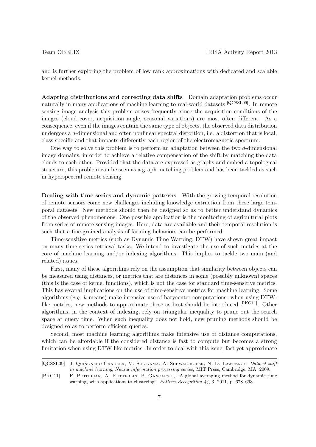and is further exploring the problem of low rank approximations with dedicated and scalable kernel methods.

Adapting distributions and correcting data shifts Domain adaptation problems occur naturally in many applications of machine learning to real-world datasets [QCSSL09]. In remote sensing image analysis this problem arises frequently, since the acquisition conditions of the images (cloud cover, acquisition angle, seasonal variations) are most often different. As a consequence, even if the images contain the same type of objects, the observed data distribution undergoes a d-dimensional and often nonlinear spectral distortion, i.e. a distortion that is local, class-specific and that impacts differently each region of the electromagnetic spectrum.

One way to solve this problem is to perform an adaptation between the two d-dimensional image domains, in order to achieve a relative compensation of the shift by matching the data clouds to each other. Provided that the data are expressed as graphs and embed a topological structure, this problem can be seen as a graph matching problem and has been tackled as such in hyperspectral remote sensing.

Dealing with time series and dynamic patterns With the growing temporal resolution of remote sensors come new challenges including knowledge extraction from these large temporal datasets. New methods should then be designed so as to better understand dynamics of the observed phenomenons. One possible application is the monitoring of agricultural plots from series of remote sensing images. Here, data are available and their temporal resolution is such that a fine-grained analysis of farming behaviors can be performed.

Time-sensitive metrics (such as Dynamic Time Warping, DTW) have shown great impact on many time series retrieval tasks. We intend to investigate the use of such metrics at the core of machine learning and/or indexing algorithms. This implies to tackle two main (and related) issues.

First, many of these algorithms rely on the assumption that similarity between objects can be measured using distances, or metrics that are distances in some (possibly unknown) spaces (this is the case of kernel functions), which is not the case for standard time-sensitive metrics. This has several implications on the use of time-sensitive metrics for machine learning. Some algorithms (e.g. k-means) make intensive use of barycenter computations: when using DTWlike metrics, new methods to approximate these as best should be introduced [PKG11]. Other algorithms, in the context of indexing, rely on triangular inequality to prune out the search space at query time. When such inequality does not hold, new pruning methods should be designed so as to perform efficient queries.

Second, most machine learning algorithms make intensive use of distance computations, which can be affordable if the considered distance is fast to compute but becomes a strong limitation when using DTW-like metrics. In order to deal with this issue, fast yet approximate

<sup>[</sup>QCSSL09] J. Quiñonero-Candela, M. Sugiyama, A. Schwaighofer, N. D. Lawrence, Dataset shift in machine learning, Neural information processing series, MIT Press, Cambridge, MA, 2009.

<sup>[</sup>PKG11] F. PETITJEAN, A. KETTERLIN, P. GANÇARSKI, "A global averaging method for dynamic time warping, with applications to clustering", Pattern Recognition 44, 3, 2011, p. 678-693.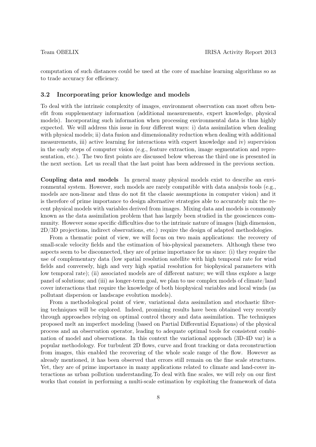computation of such distances could be used at the core of machine learning algorithms so as to trade accuracy for efficiency.

### 3.2 Incorporating prior knowledge and models

To deal with the intrinsic complexity of images, environment observation can most often benefit from supplementary information (additional measurements, expert knowledge, physical models). Incorporating such information when processing environmental data is thus highly expected. We will address this issue in four different ways: i) data assimilation when dealing with physical models; ii) data fusion and dimensionality reduction when dealing with additional measurements, iii) active learning for interactions with expert knowledge and iv) supervision in the early steps of computer vision (e.g., feature extraction, image segmentation and representation, etc.). The two first points are discussed below whereas the third one is presented in the next section. Let us recall that the last point has been addressed in the previous section.

Coupling data and models In general many physical models exist to describe an environmental system. However, such models are rarely compatible with data analysis tools (e.g., models are non-linear and thus do not fit the classic assumptions in computer vision) and it is therefore of prime importance to design alternative strategies able to accurately mix the recent physical models with variables derived from images. Mixing data and models is commonly known as the data assimilation problem that has largely been studied in the geosciences community. However some specific difficulties due to the intrinsic nature of images (high dimension, 2D/3D projections, indirect observations, etc.) require the design of adapted methodologies.

From a thematic point of view, we will focus on two main applications: the recovery of small-scale velocity fields and the estimation of bio-physical parameters. Although these two aspects seem to be disconnected, they are of prime importance for us since: (i) they require the use of complementary data (low spatial resolution satellite with high temporal rate for wind fields and conversely, high and very high spatial resolution for biophysical parameters with low temporal rate); (ii) associated models are of different nature; we will thus explore a large panel of solutions; and (iii) as longer-term goal, we plan to use complex models of climate/land cover interactions that require the knowledge of both biophysical variables and local winds (as pollutant dispersion or landscape evolution models).

From a methodological point of view, variational data assimilation and stochastic filtering techniques will be explored. Indeed, promising results have been obtained very recently through approaches relying on optimal control theory and data assimilation. The techniques proposed melt an imperfect modeling (based on Partial Differential Equations) of the physical process and an observation operator, leading to adequate optimal tools for consistent combination of model and observations. In this context the variational approach (3D-4D var) is a popular methodology. For turbulent 2D flows, curve and front tracking or data reconstruction from images, this enabled the recovering of the whole scale range of the flow. However as already mentioned, it has been observed that errors still remain on the fine scale structures. Yet, they are of prime importance in many applications related to climate and land-cover interactions as urban pollution understanding.To deal with fine scales, we will rely on our first works that consist in performing a multi-scale estimation by exploiting the framework of data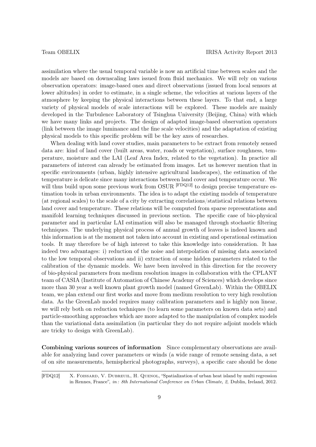assimilation where the usual temporal variable is now an artificial time between scales and the models are based on downscaling laws issued from fluid mechanics. We will rely on various observation operators: image-based ones and direct observations (issued from local sensors at lower altitudes) in order to estimate, in a single scheme, the velocities at various layers of the atmosphere by keeping the physical interactions between these layers. To that end, a large variety of physical models of scale interactions will be explored. These models are mainly developed in the Turbulence Laboratory of Tsinghua University (Beijing, China) with which we have many links and projects. The design of adapted image-based observation operators (link between the image luminance and the fine scale velocities) and the adaptation of existing physical models to this specific problem will be the key axes of researches.

When dealing with land cover studies, main parameters to be extract from remotely sensed data are: kind of land cover (built areas, water, roads or vegetation), surface roughness, temperature, moisture and the LAI (Leaf Area Index, related to the vegetation). In practice all parameters of interest can already be estimated from images. Let us however mention that in specific environments (urban, highly intensive agricultural landscapes), the estimation of the temperature is delicate since many interactions between land cover and temperature occur. We will thus build upon some previous work from OSUR <sup>[FDQ12]</sup> to design precise temperature estimation tools in urban environments. The idea is to adapt the existing models of temperature (at regional scales) to the scale of a city by extracting correlations/statistical relations between land cover and temperature. These relations will be computed from sparse representations and manifold learning techniques discussed in previous section. The specific case of bio-physical parameter and in particular LAI estimation will also be managed through stochastic filtering techniques. The underlying physical process of annual growth of leaves is indeed known and this information is at the moment not taken into account in existing and operational estimation tools. It may therefore be of high interest to take this knowledge into consideration. It has indeed two advantages: i) reduction of the noise and interpolation of missing data associated to the low temporal observations and ii) extraction of some hidden parameters related to the calibration of the dynamic models. We have been involved in this direction for the recovery of bio-physical parameters from medium resolution images in collaboration with the CPLANT team of CASIA (Institute of Automation of Chinese Academy of Sciences) which develops since more than 30 year a well known plant growth model (named GreenLab). Within the OBELIX team, we plan extend our first works and move from medium resolution to very high resolution data. As the GreenLab model requires many calibration parameters and is highly non linear, we will rely both on reduction techniques (to learn some parameters on known data sets) and particle-smoothing approaches which are more adapted to the manipulation of complex models than the variational data assimilation (in particular they do not require adjoint models which are tricky to design with GreenLab).

Combining various sources of information Since complementary observations are available for analyzing land cover parameters or winds (a wide range of remote sensing data, a set of on site measurements, hemispherical photographs, surveys), a specific care should be done

[FDQ12] X. Foissard, V. Dubreuil, H. Quenol, "Spatialization of urban heat island by multi regression in Rennes, France", in : 8th International Conference on Urban Climate, 2, Dublin, Ireland, 2012.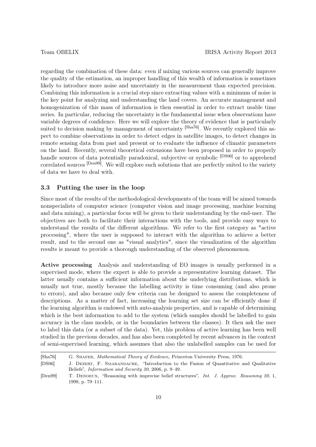regarding the combination of these data: even if mixing various sources can generally improve the quality of the estimation, an improper handling of this wealth of information is sometimes likely to introduce more noise and uncertainty in the measurement than expected precision. Combining this information is a crucial step since extracting values with a minimum of noise is the key point for analyzing and understanding the land covers. An accurate management and homogenization of this mass of information is then essential in order to extract usable time series. In particular, reducing the uncertainty is the fundamental issue when observations have variable degrees of confidence. Here we will explore the theory of evidence that is particularly suited to decision making by management of uncertainty <sup>[Sha76]</sup>. We recently explored this aspect to combine observations in order to detect edges in satellite images, to detect changes in remote sensing data from past and present or to evaluate the influence of climatic parameters on the land. Recently, several theoretical extensions have been proposed in order to properly handle sources of data potentially paradoxical, subjective or symbolic <sup>[DS06]</sup> or to apprehend correlated sources [Den99]. We will explore such solutions that are perfectly suited to the variety of data we have to deal with.

# 3.3 Putting the user in the loop

Since most of the results of the methodological developments of the team will be aimed towards nonspecialists of computer science (computer vision and image processing, machine learning and data mining), a particular focus will be given to their understanding by the end-user. The objectives are both to facilitate their interactions with the tools, and provide easy ways to understand the results of the different algorithms. We refer to the first category as "active processing", where the user is supposed to interact with the algorithm to achieve a better result, and to the second one as "visual analytics", since the visualization of the algorithm results is meant to provide a thorough understanding of the observed phenomenon.

Active processing Analysis and understanding of EO images is usually performed in a supervised mode, where the expert is able to provide a representative learning dataset. The latter usually contains a sufficient information about the underlying distributions, which is usually not true, mostly because the labelling activity is time consuming (and also prone to errors), and also because only few criteria can be designed to assess the completeness of descriptions. As a matter of fact, increasing the learning set size can be efficiently done if the learning algorithm is endowed with auto-analysis properties, and is capable of determining which is the best information to add to the system (which samples should be labelled to gain accuracy in the class models, or in the boundaries between the classes). It then ask the user to label this data (or a subset of the data). Yet, this problem of active learning has been well studied in the previous decades, and has also been completed by recent advances in the context of semi-supervised learning, which assumes that also the unlabelled samples can be used for

<sup>[</sup>Sha76] G. Shafer, Mathematical Theory of Evidence, Princeton University Press, 1976.

<sup>[</sup>DS06] J. Dezert, F. Smarandache, "Introduction to the Fusion of Quantitative and Qualitative Beliefs", Information and Security 20, 2006, p. 9–49.

<sup>[</sup>Den99] T. DENOEUX, "Reasoning with imprecise belief structures", Int. J. Approx. Reasoning 20, 1, 1999, p. 79–111.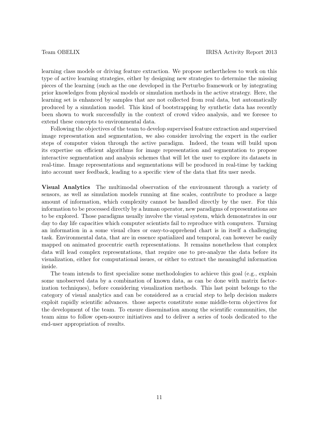learning class models or driving feature extraction. We propose nethertheless to work on this type of active learning strategies, either by designing new strategies to determine the missing pieces of the learning (such as the one developed in the Perturbo framework or by integrating prior knowledges from physical models or simulation methods in the active strategy. Here, the learning set is enhanced by samples that are not collected from real data, but automatically produced by a simulation model. This kind of bootstrapping by synthetic data has recently been shown to work successfully in the context of crowd video analysis, and we foresee to extend these concepts to environmental data.

Following the objectives of the team to develop supervised feature extraction and supervised image representation and segmentation, we also consider involving the expert in the earlier steps of computer vision through the active paradigm. Indeed, the team will build upon its expertise on efficient algorithms for image representation and segmentation to propose interactive segmentation and analysis schemes that will let the user to explore its datasets in real-time. Image representations and segmentations will be produced in real-time by tacking into account user feedback, leading to a specific view of the data that fits user needs.

Visual Analytics The multimodal observation of the environment through a variety of sensors, as well as simulation models running at fine scales, contribute to produce a large amount of information, which complexity cannot be handled directly by the user. For this information to be processed directly by a human operator, new paradigms of representations are to be explored. Those paradigms usually involve the visual system, which demonstrates in our day to day life capacities which computer scientists fail to reproduce with computers. Turning an information in a some visual clues or easy-to-apprehend chart is in itself a challenging task. Environmental data, that are in essence spatialized and temporal, can however be easily mapped on animated geocentric earth representations. It remains nonetheless that complex data will lead complex representations, that require one to pre-analyze the data before its visualization, either for computational issues, or either to extract the meaningful information inside.

The team intends to first specialize some methodologies to achieve this goal (e.g., explain some unobserved data by a combination of known data, as can be done with matrix factorization techniques), before considering visualization methods. This last point belongs to the category of visual analytics and can be considered as a crucial step to help decision makers exploit rapidly scientific advances. those aspects constitute some middle-term objectives for the development of the team. To ensure dissemination among the scientific communities, the team aims to follow open-source initiatives and to deliver a series of tools dedicated to the end-user appropriation of results.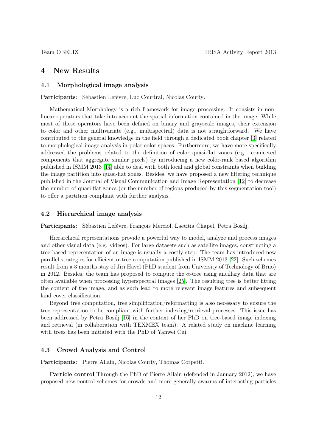# 4 New Results

# 4.1 Morphological image analysis

Participants: Sébastien Lefèvre, Luc Courtrai, Nicolas Courty.

Mathematical Morphology is a rich framework for image processing. It consists in nonlinear operators that take into account the spatial information contained in the image. While most of these operators have been defined on binary and grayscale images, their extension to color and other multivariate (e.g., multispectral) data is not straightforward. We have contributed to the general knowledge in the field through a dedicated book chapter [\[3\]](#page-18-0) related to morphological image analysis in polar color spaces. Furthermore, we have more specifically addressed the problems related to the definition of color quasi-flat zones (e.g. connected components that aggregate similar pixels) by introducing a new color-rank based algorithm published in ISMM 2013 [\[14\]](#page-19-0) able to deal with both local and global constraints when building the image partition into quasi-flat zones. Besides, we have proposed a new filtering technique published in the Journal of Visual Communication and Image Representation [\[12\]](#page-18-1) to decrease the number of quasi-flat zones (or the number of regions produced by this segmentation tool) to offer a partition compliant with further analysis.

### 4.2 Hierarchical image analysis

Participants: Sébastien Lefèvre, François Merciol, Laetitia Chapel, Petra Bosilj.

Hierarchical representations provide a powerful way to model, analyze and process images and other visual data (e.g. videos). For large datasets such as satellite images, constructing a tree-based representation of an image is usually a costly step. The team has introduced new parallel strategies for efficient  $\alpha$ -tree computation published in ISMM 2013 [\[22\]](#page-19-1). Such schemes result from a 3 months stay of Jiri Havel (PhD student from University of Technology of Brno) in 2012. Besides, the team has proposed to compute the  $\alpha$ -tree using ancillary data that are often available when processing hyperspectral images [\[25\]](#page-19-2). The resulting tree is better fitting the content of the image, and as such lead to more relevant image features and subsequent land cover classification.

Beyond tree computation, tree simplification/reformatting is also necessary to ensure the tree representation to be compliant with further indexing/retrieval processes. This issue has been addressed by Petra Bosilj [\[16\]](#page-19-3) in the context of her PhD on tree-based image indexing and retrieval (in collaboration with TEXMEX team). A related study on machine learning with trees has been initiated with the PhD of Yanwei Cui.

### 4.3 Crowd Analysis and Control

Participants: Pierre Allain, Nicolas Courty, Thomas Corpetti.

Particle control Through the PhD of Pierre Allain (defended in January 2012), we have proposed new control schemes for crowds and more generally swarms of interacting particles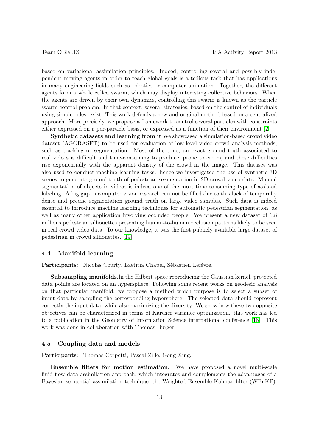based on variational assimilation principles. Indeed, controlling several and possibly independent moving agents in order to reach global goals is a tedious task that has applications in many engineering fields such as robotics or computer animation. Together, the different agents form a whole called swarm, which may display interesting collective behaviors. When the agents are driven by their own dynamics, controlling this swarm is known as the particle swarm control problem. In that context, several strategies, based on the control of individuals using simple rules, exist. This work defends a new and original method based on a centralized approach. More precisely, we propose a framework to control several particles with constraints either expressed on a per-particle basis, or expressed as a function of their environment [\[2\]](#page-18-2)

Synthetic datasets and learning from it We showcased a simulation-based crowd video dataset (AGORASET) to be used for evaluation of low-level video crowd analysis methods, such as tracking or segmentation. Most of the time, an exact ground truth associated to real videos is difficult and time-consuming to produce, prone to errors, and these difficulties rise exponentially with the apparent density of the crowd in the image. This dataset was also used to conduct machine learning tasks. hence we investigated the use of synthetic 3D scenes to generate ground truth of pedestrian segmentation in 2D crowd video data. Manual segmentation of objects in videos is indeed one of the most time-consuming type of assisted labeling. A big gap in computer vision research can not be filled due to this lack of temporally dense and precise segmentation ground truth on large video samples. Such data is indeed essential to introduce machine learning techniques for automatic pedestrian segmentation, as well as many other application involving occluded people. We present a new dataset of 1.8 millions pedestrian silhouettes presenting human-to-human occlusion patterns likely to be seen in real crowd video data. To our knowledge, it was the first publicly available large dataset of pedestrian in crowd silhouettes. [\[19\]](#page-19-4).

# 4.4 Manifold learning

Participants: Nicolas Courty, Laetitia Chapel, Sébastien Lefèvre.

Subsampling manifolds.In the Hilbert space reproducing the Gaussian kernel, projected data points are located on an hypersphere. Following some recent works on geodesic analysis on that particular manifold, we propose a method which purpose is to select a subset of input data by sampling the corresponding hypersphere. The selected data should represent correctly the input data, while also maximizing the diversity. We show how these two opposite objectives can be characterized in terms of Karcher variance optimization. this work has led to a publication in the Geometry of Information Science international conference [\[18\]](#page-19-5). This work was done in collaboration with Thomas Burger.

### 4.5 Coupling data and models

Participants: Thomas Corpetti, Pascal Zille, Gong Xing.

Ensemble filters for motion estimation. We have proposed a novel multi-scale fluid flow data assimilation approach, which integrates and complements the advantages of a Bayesian sequential assimilation technique, the Weighted Ensemble Kalman filter (WEnKF).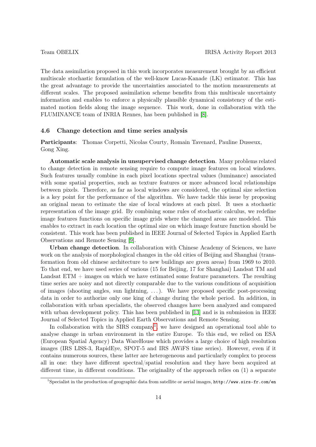The data assimilation proposed in this work incorporates measurement brought by an efficient multiscale stochastic formulation of the well-know Lucas-Kanade (LK) estimator. This has the great advantage to provide the uncertainties associated to the motion measurements at different scales. The proposed assimilation scheme benefits from this multiscale uncertainty information and enables to enforce a physically plausible dynamical consistency of the estimated motion fields along the image sequence. This work, done in collaboration with the FLUMINANCE team of INRIA Rennes, has been published in [\[8\]](#page-18-3).

### 4.6 Change detection and time series analysis

Participants: Thomas Corpetti, Nicolas Courty, Romain Tavenard, Pauline Dusseux, Gong Xing.

Automatic scale analysis in unsupervised change detection. Many problems related to change detection in remote sensing require to compute image features on local windows. Such features usually combine in each pixel locations spectral values (luminance) associated with some spatial properties, such as texture features or more advanced local relationships between pixels. Therefore, as far as local windows are considered, the optimal size selection is a key point for the performance of the algorithm. We have tackle this issue by proposing an original mean to estimate the size of local windows at each pixel. It uses a stochastic representation of the image grid. By combining some rules of stochastic calculus, we redefine image features functions on specific image grids where the changed areas are modeled. This enables to extract in each location the optimal size on which image feature function should be consistent. This work has been published in IEEE Journal of Selected Topics in Applied Earth Observations and Remote Sensing [\[9\]](#page-18-4).

Urban change detection. In collaboration with Chinese Academy of Sciences, we have work on the analysis of morphological changes in the old cities of Beijing and Shanghai (transformation from old chinese architecture to new buildings are green areas) from 1969 to 2010. To that end, we have used series of various (15 for Beijing, 17 for Shanghai) Landsat TM and Landsat ETM + images on which we have estimated some feature parameters. The resulting time series are noisy and not directly comparable due to the various conditions of acquisition of images (shooting angles, sun lightning, . . . ). We have proposed specific post-processing data in order to authorize only one king of change during the whole period. In addition, in collaboration with urban specialists, the observed changes have been analyzed and compared with urban development policy. This has been published in [\[13\]](#page-18-5) and is in submission in IEEE Journal of Selected Topics in Applied Earth Observations and Remote Sensing.

In collaboration with the SIRS company<sup>[1](#page-13-0)</sup>, we have designed an operational tool able to analyse change in urban environment in the entire Europe. To this end, we relied on ESA (European Spatial Agency) Data WareHouse which provides a large choice of high resolution images (IRS LISS-3, RapidEye, SPOT-5 and IRS AWiFS time series). However, even if it contains numerous sources, these latter are heterogeneous and particularly complex to process all in one: they have different spectral/spatial resolution and they have been acquired at different time, in different conditions. The originality of the approach relies on (1) a separate

<span id="page-13-0"></span><sup>&</sup>lt;sup>1</sup>Specialist in the production of geographic data from satellite or aerial images,  $http://www.sirs-fr.com/en)$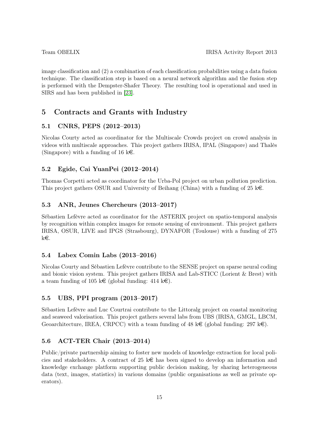image classification and (2) a combination of each classification probabilities using a data fusion technique. The classification step is based on a neural network algorithm and the fusion step is performed with the Dempster-Shafer Theory. The resulting tool is operational and used in SIRS and has been published in [\[23\]](#page-19-6).

# 5 Contracts and Grants with Industry

# 5.1 CNRS, PEPS (2012–2013)

Nicolas Courty acted as coordinator for the Multiscale Crowds project on crowd analysis in videos with multiscale approaches. This project gathers IRISA, IPAL (Singapore) and Thalès (Singapore) with a funding of 16 k $\epsilon$ .

# 5.2 Egide, Cai YuanPei (2012–2014)

Thomas Corpetti acted as coordinator for the Urba-Pol project on urban pollution prediction. This project gathers OSUR and University of Beihang (China) with a funding of  $25 \text{ kg}$ .

# 5.3 ANR, Jeunes Chercheurs (2013–2017)

Sébastien Lefèvre acted as coordinator for the ASTERIX project on spatio-temporal analysis by recognition within complex images for remote sensing of environment. This project gathers IRISA, OSUR, LIVE and IPGS (Strasbourg), DYNAFOR (Toulouse) with a funding of 275 ke.

# 5.4 Labex Comin Labs (2013–2016)

Nicolas Courty and Sébastien Lefèvre contribute to the SENSE project on sparse neural coding and bionic vision system. This project gathers IRISA and Lab-STICC (Lorient & Brest) with a team funding of 105 k $\in$  (global funding: 414 k $\in$ ).

# 5.5 UBS, PPI program (2013–2017)

Sébastien Lefèvre and Luc Courtrai contribute to the Littoralg project on coastal monitoring and seaweed valorisation. This project gathers several labs from UBS (IRISA, GMGL, LBCM, Geoarchitecture, IREA, CRPCC) with a team funding of 48 k $\in$  (global funding: 297 k $\in$ ).

# 5.6 ACT-TER Chair (2013–2014)

Public/private partnership aiming to foster new models of knowledge extraction for local policies and stakeholders. A contract of 25  $k \in \mathbb{R}$  has been signed to develop an information and knowledge exchange platform supporting public decision making, by sharing heterogeneous data (text, images, statistics) in various domains (public organisations as well as private operators).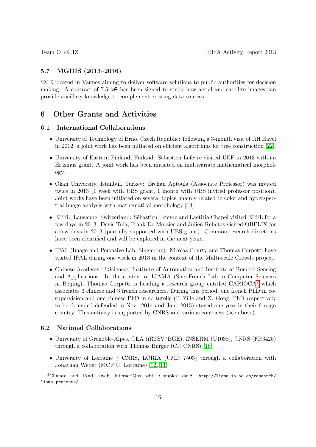# 5.7 MGDIS (2013–2016)

SME located in Vannes aiming to deliver software solutions to public authorities for decision making. A contract of 7.5 k  $\epsilon$  has been signed to study how aerial and satellite images can provide ancillary knowledge to complement existing data sources.

# 6 Other Grants and Activities

# 6.1 International Collaborations

- University of Technology of Brno, Czech Republic: following a 3-month visit of Jiří Havel in 2012, a joint work has been initiated on efficient algorithms for tree construction [\[22\]](#page-19-1).
- University of Eastern Finland, Finland: Sébastien Lefèvre visited UEF in 2013 with an Erasmus grant. A joint work has been initiated on multivariate mathematical morphology.
- Okan University, Istanbul, Turkey: Erchan Aptoula (Associate Professor) was invited twice in 2013 (1 week with UBS grant, 1 month with UBS invited professor position). Joint works have been initiated on several topics, mainly related to color and hyperspectral image analysis with mathematical morphology [\[14\]](#page-19-0).
- EPFL, Lausanne, Switzerland: Sébastien Lefèvre and Laetitia Chapel visited EPFL for a few days in 2013. Devis Tuia, Frank De Morsier and Julien Rebetez visited OBELIX for a few days in 2013 (partially supported with UBS grant). Common research directions have been identified and will be explored in the next years.
- IPAL (Image and Pervasive Lab, Singapore). Nicolas Courty and Thomas Corpetti have visited IPAL during one week in 2013 in the context of the Multi-scale Crowds project.
- Chinese Academy of Sciences, Institute of Automation and Institute of Remote Sensing and Applications. In the context of LIAMA (Sino-French Lab in Computer Sciences in Beijing), Thomas Corpetti is heading a research group entitled  $CARIOCA<sup>2</sup>$  $CARIOCA<sup>2</sup>$  $CARIOCA<sup>2</sup>$  which associates 3 chinese and 3 french researchers. During this period, one french PhD in cosupervision and one chinese PhD in co-tutelle (P. Zille and X. Gong, PhD respectively to be defended defended in Nov. 2014 and Jan. 2015) stayed one year in their foreign country. This activity is supported by CNRS and various contracts (see above).

# 6.2 National Collaborations

- University of Grenoble-Alpes, CEA (iRTSV/BGE), INSERM (U1038), CNRS (FR3425) through a collaboration with Thomas Burger (CR CNRS) [\[18\]](#page-19-5)
- University of Lorraine / CNRS, LORIA (UMR 7503) through a collaboration with Jonathan Weber (MCF U. Lorraine) [\[12,](#page-18-1) [14\]](#page-19-0)

<span id="page-15-0"></span><sup>&</sup>lt;sup>2</sup>Climate and lAnd coveR InteractiOns with Complex datA, http://liama.ia.ac.cn/research/ liama-projects/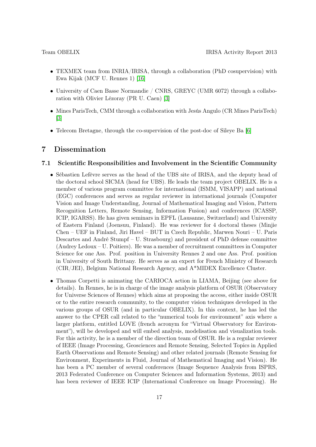- TEXMEX team from INRIA/IRISA, through a collaboration (PhD cosupervision) with Ewa Kijak (MCF U. Rennes 1) [\[16\]](#page-19-3)
- University of Caen Basse Normandie / CNRS, GREYC (UMR 6072) through a collaboration with Olivier Lézoray (PR U. Caen) [\[3\]](#page-18-0)
- Mines ParisTech, CMM through a collaboration with Jesús Angulo (CR Mines ParisTech) [\[3\]](#page-18-0)
- Telecom Bretagne, through the co-supervision of the post-doc of Sileye Ba [\[6\]](#page-18-6)

# 7 Dissemination

### 7.1 Scientific Responsibilities and Involvement in the Scientific Community

- Sébastien Lefèvre serves as the head of the UBS site of IRISA, and the deputy head of the doctoral school SICMA (head for UBS). He leads the team project OBELIX. He is a member of various program committee for international (ISMM, VISAPP) and national (EGC) conferences and serves as regular reviewer in international journals (Computer Vision and Image Understanding, Journal of Mathematical Imaging and Vision, Pattern Recognition Letters, Remote Sensing, Information Fusion) and conferences (ICASSP, ICIP, IGARSS). He has given seminars in EPFL (Lausanne, Switzerland) and University of Eastern Finland (Joensuu, Finland). He was reviewer for 4 doctoral theses (Minjie Chen – UEF in Finland, Jiri Havel – BUT in Czech Republic, Marwen Nouri – U. Paris Descartes and André Stumpf – U. Strasbourg) and president of PhD defense committee (Audrey Ledoux – U. Poitiers). He was a member of recruitment committees in Computer Science for one Ass. Prof. position in University Rennes 2 and one Ass. Prof. position in University of South Brittany. He serves as an expert for French Ministry of Research (CIR/JEI), Belgium National Research Agency, and A\*MIDEX Excellence Cluster.
- Thomas Corpetti is animating the CARIOCA action in LIAMA, Beijing (see above for details). In Rennes, he is in charge of the image analysis platform of OSUR (Observatory for Universe Sciences of Rennes) which aims at proposing the access, either inside OSUR or to the entire research community, to the computer vision techniques developed in the various groups of OSUR (and in particular OBELIX). In this context, he has led the answer to the CPER call related to the "numerical tools for environment" axis where a larger platform, entitled LOVE (french acronym for "Virtual Observatory for Environment"), will be developed and will embed analysis, modelisation and visualization tools. For this activity, he is a member of the direction team of OSUR. He is a regular reviewer of IEEE (Image Processing, Geosciences and Remote Sensing, Selected Topics in Applied Earth Observations and Remote Sensing) and other related journals (Remote Sensing for Environment, Experiments in Fluid, Journal of Mathematical Imaging and Vision). He has been a PC member of several conferences (Image Sequence Analysis from ISPRS, 2013 Federated Conference on Computer Sciences and Information Systems, 2013) and has been reviewer of IEEE ICIP (International Conference on Image Processing). He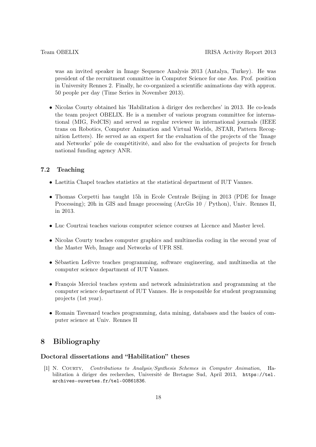was an invited speaker in Image Sequence Analysis 2013 (Antalya, Turkey). He was president of the recruitment committee in Computer Science for one Ass. Prof. position in University Rennes 2. Finally, he co-organized a scientific animations day with approx. 50 people per day (Time Series in November 2013).

• Nicolas Courty obtained his 'Habilitation à diriger des recherches' in 2013. He co-leads the team project OBELIX. He is a member of various program committee for international (MIG, FedCIS) and served as regular reviewer in international journals (IEEE trans on Robotics, Computer Animation and Virtual Worlds, JSTAR, Pattern Recognition Letters). He served as an expert for the evaluation of the projects of the 'Image and Networks' pôle de compétitivité, and also for the evaluation of projects for french national funding agency ANR.

# 7.2 Teaching

- Laetitia Chapel teaches statistics at the statistical department of IUT Vannes.
- Thomas Corpetti has taught 15h in Ecole Centrale Beijing in 2013 (PDE for Image Processing); 20h in GIS and Image processing (ArcGis 10 / Python), Univ. Rennes II, in 2013.
- Luc Courtrai teaches various computer science courses at Licence and Master level.
- Nicolas Courty teaches computer graphics and multimedia coding in the second year of the Master Web, Image and Networks of UFR SSI.
- Sébastien Lefèvre teaches programming, software engineering, and multimedia at the computer science department of IUT Vannes.
- François Merciol teaches system and network administration and programming at the computer science department of IUT Vannes. He is responsible for student programming projects (1st year).
- Romain Tavenard teaches programming, data mining, databases and the basics of computer science at Univ. Rennes II

# 8 Bibliography

# Doctoral dissertations and "Habilitation" theses

[1] N. Courty, Contributions to Analysis/Synthesis Schemes in Computer Animation, Habilitation à diriger des recherches, Université de Bretagne Sud, April 2013, https://tel. archives-ouvertes.fr/tel-00861836.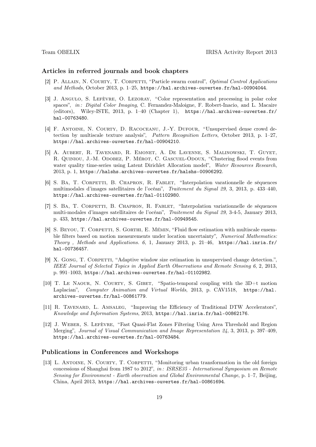### Articles in referred journals and book chapters

- <span id="page-18-2"></span>[2] P. Allain, N. Courty, T. Corpetti, "Particle swarm control", Optimal Control Applications and Methods, October 2013, p. 1–25, https://hal.archives-ouvertes.fr/hal-00904044.
- <span id="page-18-0"></span>[3] J. Angulo, S. Lefèvre, O. Lezoray, "Color representation and processing in polar color spaces", in : Digital Color Imaging, C. Fernandez-Maloigne, F. Robert-Inacio, and L. Macaire (editors), Wiley-ISTE, 2013, p. 1–40 (Chapter 1), https://hal.archives-ouvertes.fr/ hal-00763480.
- [4] F. Antoine, N. Courty, D. Racoceanu, J.-Y. Dufour, "Unsupervised dense crowd detection by multiscale texture analysis", Pattern Recognition Letters, October 2013, p. 1–27, https://hal.archives-ouvertes.fr/hal-00904210.
- [5] A. Aubert, R. Tavenard, R. Emonet, A. De Lavenne, S. Malinowski, T. Guyet, R. QUINIOU, J.-M. ODOBEZ, P. MÉROT, C. GASCUEL-ODOUX, "Clustering flood events from water quality time-series using Latent Dirichlet Allocation model", Water Resources Research, 2013, p. 1, https://halshs.archives-ouvertes.fr/halshs-00906292.
- <span id="page-18-6"></span>[6] S. Ba, T. Corpetti, B. Chapron, R. Fablet, "Interpolation varationnelle de séquences multimodales d'images satellitaires de l'océan", Traitement du Signal 29, 3, 2013, p. 433–440, https://hal.archives-ouvertes.fr/hal-01102980.
- [7] S. BA, T. CORPETTI, B. CHAPRON, R. FABLET, "Interpolation variationnelle de séquences multi-modales d'images satellitaires de l'océan", Traitement du Signal 29, 3-4-5, January 2013, p. 433, https://hal.archives-ouvertes.fr/hal-00949545.
- <span id="page-18-3"></span>[8] S. BEYOU, T. CORPETTI, S. GORTHI, E. MÉMIN, "Fluid flow estimation with multiscale ensemble filters based on motion measurements under location uncertainty", Numerical Mathematics: Theory, Methods and Applications. 6, 1, January 2013, p. 21–46, https://hal.inria.fr/ hal-00736457.
- <span id="page-18-4"></span>[9] X. GONG, T. CORPETTI, "Adaptive window size estimation in unsupervised change detection.", IEEE Journal of Selected Topics in Applied Earth Observations and Remote Sensing 6, 2, 2013, p. 991–1003, https://hal.archives-ouvertes.fr/hal-01102982.
- $[10]$  T. Le NAOUR, N. COURTY, S. GIBET, "Spatio-temporal coupling with the 3D+t motion Laplacian", Computer Animation and Virtual Worlds, 2013, p. CAV1518, https://hal. archives-ouvertes.fr/hal-00861779.
- [11] R. Tavenard, L. Amsaleg, "Improving the Efficiency of Traditional DTW Accelerators", Knowledge and Information Systems, 2013, https://hal.inria.fr/hal-00862176.
- <span id="page-18-1"></span>[12] J. Weber, S. Lefèvre, "Fast Quasi-Flat Zones Filtering Using Area Threshold and Region Merging", Journal of Visual Communication and Image Representation 24, 3, 2013, p. 397–409, https://hal.archives-ouvertes.fr/hal-00763484.

# Publications in Conferences and Workshops

<span id="page-18-5"></span>[13] L. ANTOINE, N. COURTY, T. CORPETTI, "Monitoring urban transformation in the old foreign concessions of Shanghai from 1987 to 2012", in : ISRSE35 - International Symposium on Remote Sensing for Environment - Earth observation and Global Environmental Change, p. 1–7, Beijing, China, April 2013, https://hal.archives-ouvertes.fr/hal-00861694.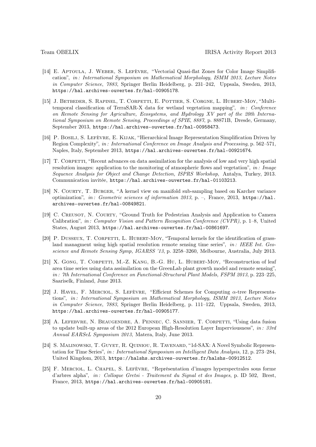- <span id="page-19-0"></span>[14] E. Aptoula, J. Weber, S. Lefèvre, "Vectorial Quasi-flat Zones for Color Image Simplification", in: International Symposium on Mathematical Morphology, ISMM 2013, Lecture Notes in Computer Science, 7883, Springer Berlin Heidelberg, p. 231–242, Uppsala, Sweden, 2013, https://hal.archives-ouvertes.fr/hal-00905178.
- [15] J. BETBEDER, S. RAPINEL, T. CORPETTI, E. POTTIER, S. CORGNE, L. HUBERT-MOY, "Multitemporal classification of TerraSAR-X data for wetland vegetation mapping", in : Conference on Remote Sensing for Agriculture, Ecosystems, and Hydrology XV part of the 20th International Symposium on Remote Sensing, Proceedings of SPIE, 8887, p. 88871B, Dresde, Germany, September 2013, https://hal.archives-ouvertes.fr/hal-00958473.
- <span id="page-19-3"></span>[16] P. BOSILJ, S. LEFÈVRE, E. KIJAK, "Hierarchical Image Representation Simplification Driven by Region Complexity", in : International Conference on Image Analysis and Processing, p. 562–571, Naples, Italy, September 2013, https://hal.archives-ouvertes.fr/hal-00921674.
- [17] T. CORPETTI, "Recent advances on data assimilation for the analysis of low and very high spatial resolution images: application to the monitoring of atmospheric flows and vegetation", in: Image Sequence Analysis for Object and Change Detection, ISPRS Workshop, Antalya, Turkey, 2013. Communication invitée, https://hal.archives-ouvertes.fr/hal-01103213.
- <span id="page-19-5"></span>[18] N. Courty, T. Burger, "A kernel view on manifold sub-sampling based on Karcher variance optimization", in: Geometric sciences of information 2013, p. –, France, 2013, https://hal. archives-ouvertes.fr/hal-00849821.
- <span id="page-19-4"></span>[19] C. CREUSOT, N. COURTY, "Ground Truth for Pedestrian Analysis and Application to Camera Calibration", in : Computer Vision and Pattern Recognition Conference (CVPR), p. 1–8, United States, August 2013, https://hal.archives-ouvertes.fr/hal-00861697.
- [20] P. DUSSEUX, T. CORPETTI, L. HUBERT-MOY, "Temporal kernels for the identification of grassland managment using high spatial resolution remote sensing time series",  $in$ : IEEE Int. Geoscience and Remote Sensing Symp, IGARSS '13, p. 3258–3260, Melbourne, Australia, July 2013.
- [21] X. GONG, T. CORPETTI, M.-Z. KANG, B.-G. HU, L. HUBERT-MOY, "Reconstruction of leaf area time series using data assimilation on the GreenLab plant growth model and remote sensing", in : 7th International Conference on Functional-Structural Plant Models, FSPM 2013, p. 223–225, Saariselk, Finland, June 2013.
- <span id="page-19-1"></span>[22] J. HAVEL, F. MERCIOL, S. LEFÈVRE, "Efficient Schemes for Computing  $\alpha$ -tree Representations", in : International Symposium on Mathematical Morphology, ISMM 2013, Lecture Notes in Computer Science, 7883, Springer Berlin Heidelberg, p. 111–122, Uppsala, Sweden, 2013, https://hal.archives-ouvertes.fr/hal-00905177.
- <span id="page-19-6"></span>[23] A. Lefebvre, N. Beaugendre, A. Pennec, C. Sannier, T. Corpetti, "Using data fusion to update built-up areas of the 2012 European High-Resolution Layer Imperviousness", in: 33rd Annual EARSeL Symposium 2013, Matera, Italy, June 2013.
- [24] S. Malinowski, T. Guyet, R. Quiniou, R. Tavenard, "1d-SAX: A Novel Symbolic Representation for Time Series", in : International Symposium on Intelligent Data Analysis, 12, p. 273–284, United Kingdom, 2013, https://halshs.archives-ouvertes.fr/halshs-00912512.
- <span id="page-19-2"></span>[25] F. Merciol, L. Chapel, S. Lefèvre, "Représentation d'images hyperspectrales sous forme d'arbres alpha", in : Colloque Gretsi - Traitement du Signal et des Images, p. ID 502, Brest, France, 2013, https://hal.archives-ouvertes.fr/hal-00905181.